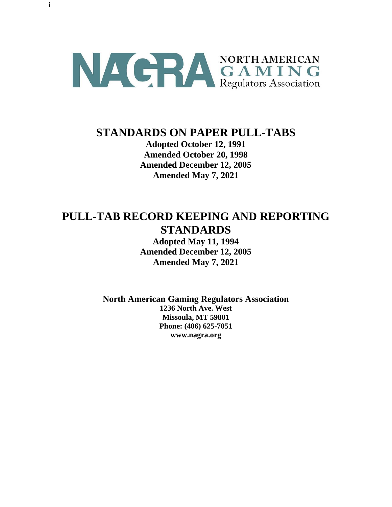

i

# **STANDARDS ON PAPER PULL-TABS**

**Adopted October 12, 1991 Amended October 20, 1998 Amended December 12, 2005 Amended May 7, 2021**

# **PULL-TAB RECORD KEEPING AND REPORTING STANDARDS**

**Adopted May 11, 1994 Amended December 12, 2005 Amended May 7, 2021**

**North American Gaming Regulators Association**

**1236 North Ave. West Missoula, MT 59801 Phone: (406) 625-7051 www.nagra.org**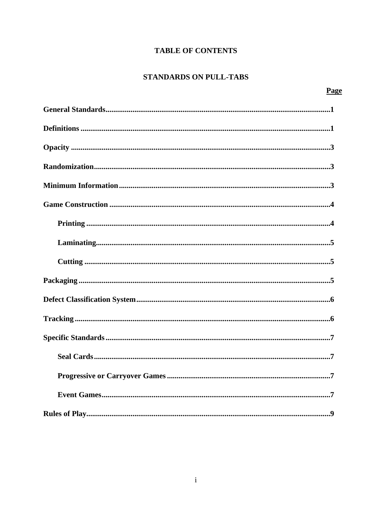## **TABLE OF CONTENTS**

## **STANDARDS ON PULL-TABS**

| Page |
|------|
|      |
|      |
|      |
|      |
|      |
|      |
|      |
|      |
|      |
|      |
|      |
|      |
|      |
|      |
|      |
|      |
|      |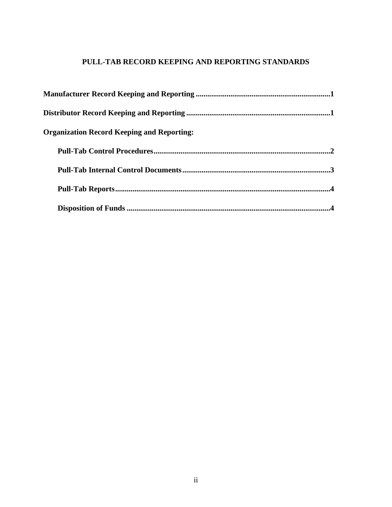# **PULL-TAB RECORD KEEPING AND REPORTING STANDARDS**

| <b>Organization Record Keeping and Reporting:</b> |  |
|---------------------------------------------------|--|
|                                                   |  |
|                                                   |  |
|                                                   |  |
|                                                   |  |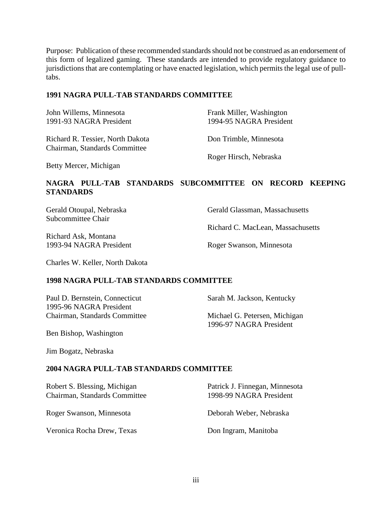Purpose: Publication of these recommended standards should not be construed as an endorsement of this form of legalized gaming. These standards are intended to provide regulatory guidance to jurisdictions that are contemplating or have enacted legislation, which permits the legal use of pulltabs.

#### **1991 NAGRA PULL-TAB STANDARDS COMMITTEE**

| John Willems, Minnesota<br>1991-93 NAGRA President                | Frank Miller, Washington<br>1994-95 NAGRA President |
|-------------------------------------------------------------------|-----------------------------------------------------|
| Richard R. Tessier, North Dakota<br>Chairman, Standards Committee | Don Trimble, Minnesota                              |
|                                                                   | Roger Hirsch, Nebraska                              |

Betty Mercer, Michigan

## **NAGRA PULL-TAB STANDARDS SUBCOMMITTEE ON RECORD KEEPING STANDARDS**

Subcommittee Chair

Richard Ask, Montana 1993-94 NAGRA President Roger Swanson, Minnesota

Gerald Otoupal, Nebraska Gerald Glassman, Massachusetts

Richard C. MacLean, Massachusetts

Charles W. Keller, North Dakota

#### **1998 NAGRA PULL-TAB STANDARDS COMMITTEE**

Paul D. Bernstein, Connecticut Sarah M. Jackson, Kentucky 1995-96 NAGRA President Chairman, Standards Committee Michael G. Petersen, Michigan

1996-97 NAGRA President

Ben Bishop, Washington

Jim Bogatz, Nebraska

#### **2004 NAGRA PULL-TAB STANDARDS COMMITTEE**

| Robert S. Blessing, Michigan<br>Chairman, Standards Committee | Patrick J. Finnegan, Minnesota<br>1998-99 NAGRA President |
|---------------------------------------------------------------|-----------------------------------------------------------|
| Roger Swanson, Minnesota                                      | Deborah Weber, Nebraska                                   |
| Veronica Rocha Drew, Texas                                    | Don Ingram, Manitoba                                      |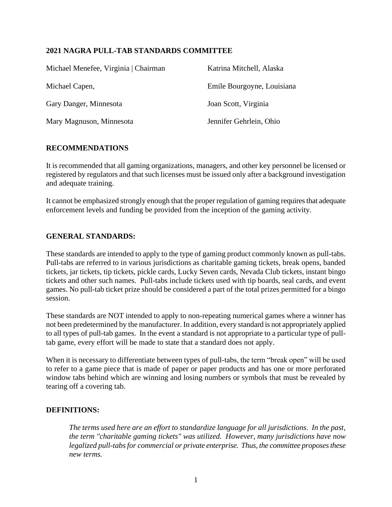## **2021 NAGRA PULL-TAB STANDARDS COMMITTEE**

| Michael Menefee, Virginia   Chairman | Katrina Mitchell, Alaska   |
|--------------------------------------|----------------------------|
| Michael Capen,                       | Emile Bourgoyne, Louisiana |
| Gary Danger, Minnesota               | Joan Scott, Virginia       |
| Mary Magnuson, Minnesota             | Jennifer Gehrlein, Ohio    |

#### **RECOMMENDATIONS**

It is recommended that all gaming organizations, managers, and other key personnel be licensed or registered by regulators and that such licenses must be issued only after a background investigation and adequate training.

It cannot be emphasized strongly enough that the proper regulation of gaming requires that adequate enforcement levels and funding be provided from the inception of the gaming activity.

#### **GENERAL STANDARDS:**

These standards are intended to apply to the type of gaming product commonly known as pull-tabs. Pull-tabs are referred to in various jurisdictions as charitable gaming tickets, break opens, banded tickets, jar tickets, tip tickets, pickle cards, Lucky Seven cards, Nevada Club tickets, instant bingo tickets and other such names. Pull-tabs include tickets used with tip boards, seal cards, and event games. No pull-tab ticket prize should be considered a part of the total prizes permitted for a bingo session.

These standards are NOT intended to apply to non-repeating numerical games where a winner has not been predetermined by the manufacturer. In addition, every standard is not appropriately applied to all types of pull-tab games. In the event a standard is not appropriate to a particular type of pulltab game, every effort will be made to state that a standard does not apply.

When it is necessary to differentiate between types of pull-tabs, the term "break open" will be used to refer to a game piece that is made of paper or paper products and has one or more perforated window tabs behind which are winning and losing numbers or symbols that must be revealed by tearing off a covering tab.

#### **DEFINITIONS:**

*The terms used here are an effort to standardize language for all jurisdictions. In the past, the term "charitable gaming tickets" was utilized. However, many jurisdictions have now legalized pull-tabs for commercial or private enterprise. Thus, the committee proposes these new terms.*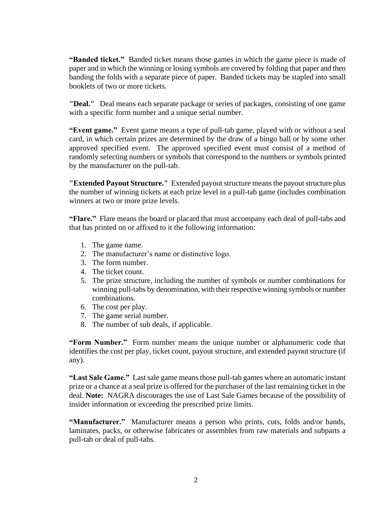**"Banded ticket."** Banded ticket means those games in which the game piece is made of paper and in which the winning or losing symbols are covered by folding that paper and then banding the folds with a separate piece of paper. Banded tickets may be stapled into small booklets of two or more tickets.

**"Deal."** Deal means each separate package or series of packages, consisting of one game with a specific form number and a unique serial number.

**"Event game."** Event game means a type of pull-tab game, played with or without a seal card, in which certain prizes are determined by the draw of a bingo ball or by some other approved specified event. The approved specified event must consist of a method of randomly selecting numbers or symbols that correspond to the numbers or symbols printed by the manufacturer on the pull-tab.

**"Extended Payout Structure."** Extended payout structure means the payout structure plus the number of winning tickets at each prize level in a pull-tab game (includes combination winners at two or more prize levels.

**"Flare."** Flare means the board or placard that must accompany each deal of pull-tabs and that has printed on or affixed to it the following information:

- 1. The game name.
- 2. The manufacturer's name or distinctive logo.
- 3. The form number.
- 4. The ticket count.
- 5. The prize structure, including the number of symbols or number combinations for winning pull-tabs by denomination, with their respective winning symbols or number combinations.
- 6. The cost per play.
- 7. The game serial number.
- 8. The number of sub deals, if applicable.

**"Form Number."** Form number means the unique number or alphanumeric code that identifies the cost per play, ticket count, payout structure, and extended payoutstructure (if any).

**"Last Sale Game."** Last sale game means those pull-tab games where an automatic instant prize or a chance at a seal prize is offered for the purchaser of the last remaining ticket in the deal. **Note:** NAGRA discourages the use of Last Sale Games because of the possibility of insider information or exceeding the prescribed prize limits.

**"Manufacturer."** Manufacturer means a person who prints, cuts, folds and/or bands, laminates, packs, or otherwise fabricates or assembles from raw materials and subparts a pull-tab or deal of pull-tabs.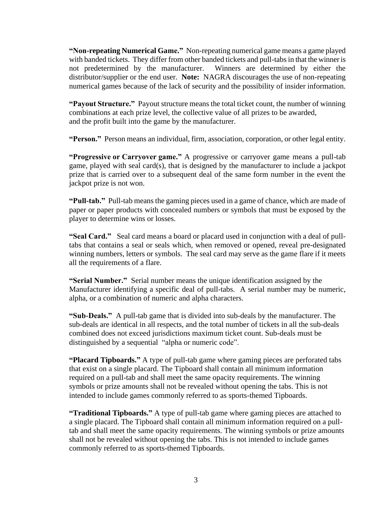**"Non-repeating Numerical Game."** Non-repeating numerical game means a game played with banded tickets. They differ from other banded tickets and pull-tabs in that the winner is not predetermined by the manufacturer. Winners are determined by either the distributor/supplier or the end user. **Note:** NAGRA discourages the use of non-repeating numerical games because of the lack of security and the possibility of insider information.

**"Payout Structure."** Payout structure means the total ticket count, the number of winning combinations at each prize level, the collective value of all prizes to be awarded, and the profit built into the game by the manufacturer.

**"Person."** Person means an individual, firm, association, corporation, or other legal entity.

**"Progressive or Carryover game."** A progressive or carryover game means a pull-tab game, played with seal card(s), that is designed by the manufacturer to include a jackpot prize that is carried over to a subsequent deal of the same form number in the event the jackpot prize is not won.

**"Pull-tab."** Pull-tab means the gaming pieces used in a game of chance, which are made of paper or paper products with concealed numbers or symbols that must be exposed by the player to determine wins or losses.

**"Seal Card."** Seal card means a board or placard used in conjunction with a deal of pulltabs that contains a seal or seals which, when removed or opened, reveal pre-designated winning numbers, letters or symbols. The seal card may serve as the game flare if it meets all the requirements of a flare.

**"Serial Number."** Serial number means the unique identification assigned by the Manufacturer identifying a specific deal of pull-tabs. A serial number may be numeric, alpha, or a combination of numeric and alpha characters.

**"Sub-Deals."** A pull-tab game that is divided into sub-deals by the manufacturer. The sub-deals are identical in all respects, and the total number of tickets in all the sub-deals combined does not exceed jurisdictions maximum ticket count. Sub-deals must be distinguished by a sequential "alpha or numeric code".

**"Placard Tipboards."** A type of pull-tab game where gaming pieces are perforated tabs that exist on a single placard. The Tipboard shall contain all minimum information required on a pull-tab and shall meet the same opacity requirements. The winning symbols or prize amounts shall not be revealed without opening the tabs. This is not intended to include games commonly referred to as sports-themed Tipboards.

**"Traditional Tipboards."** A type of pull-tab game where gaming pieces are attached to a single placard. The Tipboard shall contain all minimum information required on a pulltab and shall meet the same opacity requirements. The winning symbols or prize amounts shall not be revealed without opening the tabs. This is not intended to include games commonly referred to as sports-themed Tipboards.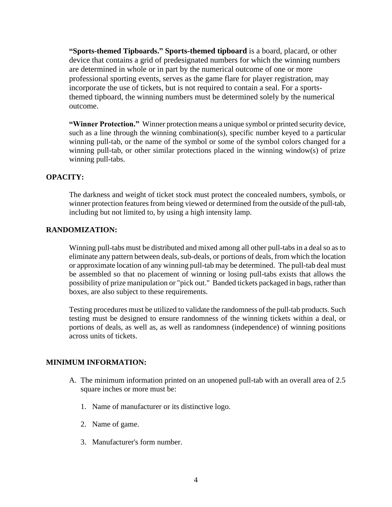**"Sports-themed Tipboards." Sports-themed tipboard** is a board, placard, or other device that contains a grid of predesignated numbers for which the winning numbers are determined in whole or in part by the numerical outcome of one or more professional sporting events, serves as the game flare for player registration, may incorporate the use of tickets, but is not required to contain a seal. For a sportsthemed tipboard, the winning numbers must be determined solely by the numerical outcome.

**"Winner Protection."** Winner protection means a unique symbol or printed security device, such as a line through the winning combination(s), specific number keyed to a particular winning pull-tab, or the name of the symbol or some of the symbol colors changed for a winning pull-tab, or other similar protections placed in the winning window(s) of prize winning pull-tabs.

#### **OPACITY:**

The darkness and weight of ticket stock must protect the concealed numbers, symbols, or winner protection features from being viewed or determined from the outside of the pull-tab, including but not limited to, by using a high intensity lamp.

#### **RANDOMIZATION:**

Winning pull-tabs must be distributed and mixed among all other pull-tabs in a deal so as to eliminate any pattern between deals, sub-deals, or portions of deals, from which the location or approximate location of any winning pull-tab may be determined. The pull-tab deal must be assembled so that no placement of winning or losing pull-tabs exists that allows the possibility of prize manipulation or "pick out." Banded tickets packaged in bags, rather than boxes, are also subject to these requirements.

Testing procedures must be utilized to validate the randomness of the pull-tab products. Such testing must be designed to ensure randomness of the winning tickets within a deal, or portions of deals, as well as, as well as randomness (independence) of winning positions across units of tickets.

#### **MINIMUM INFORMATION:**

- A. The minimum information printed on an unopened pull-tab with an overall area of 2.5 square inches or more must be:
	- 1. Name of manufacturer or its distinctive logo.
	- 2. Name of game.
	- 3. Manufacturer's form number.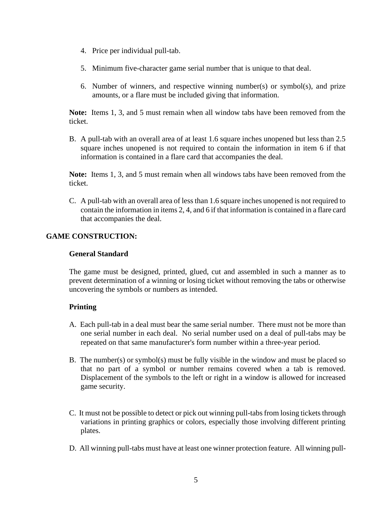- 4. Price per individual pull-tab.
- 5. Minimum five-character game serial number that is unique to that deal.
- 6. Number of winners, and respective winning number(s) or symbol(s), and prize amounts, or a flare must be included giving that information.

**Note:** Items 1, 3, and 5 must remain when all window tabs have been removed from the ticket.

B. A pull-tab with an overall area of at least 1.6 square inches unopened but less than 2.5 square inches unopened is not required to contain the information in item 6 if that information is contained in a flare card that accompanies the deal.

**Note:** Items 1, 3, and 5 must remain when all windows tabs have been removed from the ticket.

C. A pull-tab with an overall area of less than 1.6 square inches unopened is not required to contain the information in items 2, 4, and 6 if that information is contained in a flare card that accompanies the deal.

## **GAME CONSTRUCTION:**

#### **General Standard**

The game must be designed, printed, glued, cut and assembled in such a manner as to prevent determination of a winning or losing ticket without removing the tabs or otherwise uncovering the symbols or numbers as intended.

#### **Printing**

- A. Each pull-tab in a deal must bear the same serial number. There must not be more than one serial number in each deal. No serial number used on a deal of pull-tabs may be repeated on that same manufacturer's form number within a three-year period.
- B. The number(s) or symbol(s) must be fully visible in the window and must be placed so that no part of a symbol or number remains covered when a tab is removed. Displacement of the symbols to the left or right in a window is allowed for increased game security.
- C. It must not be possible to detect or pick out winning pull-tabs from losing tickets through variations in printing graphics or colors, especially those involving different printing plates.
- D. All winning pull-tabs must have at least one winner protection feature. All winning pull-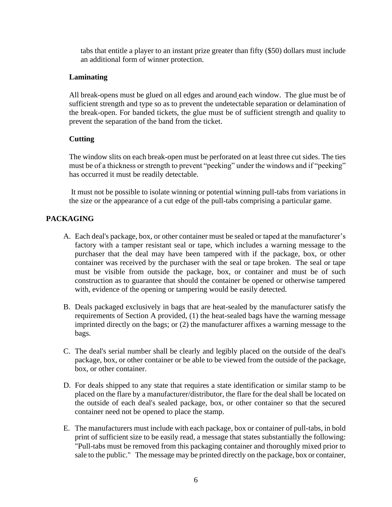tabs that entitle a player to an instant prize greater than fifty (\$50) dollars must include an additional form of winner protection.

## **Laminating**

All break-opens must be glued on all edges and around each window. The glue must be of sufficient strength and type so as to prevent the undetectable separation or delamination of the break-open. For banded tickets, the glue must be of sufficient strength and quality to prevent the separation of the band from the ticket.

## **Cutting**

The window slits on each break-open must be perforated on at least three cut sides. The ties must be of a thickness or strength to prevent "peeking" under the windows and if "peeking" has occurred it must be readily detectable.

It must not be possible to isolate winning or potential winning pull-tabs from variations in the size or the appearance of a cut edge of the pull-tabs comprising a particular game.

## **PACKAGING**

- A. Each deal's package, box, or other container must be sealed or taped at the manufacturer's factory with a tamper resistant seal or tape, which includes a warning message to the purchaser that the deal may have been tampered with if the package, box, or other container was received by the purchaser with the seal or tape broken. The seal or tape must be visible from outside the package, box, or container and must be of such construction as to guarantee that should the container be opened or otherwise tampered with, evidence of the opening or tampering would be easily detected.
- B. Deals packaged exclusively in bags that are heat-sealed by the manufacturer satisfy the requirements of Section A provided, (1) the heat-sealed bags have the warning message imprinted directly on the bags; or (2) the manufacturer affixes a warning message to the bags.
- C. The deal's serial number shall be clearly and legibly placed on the outside of the deal's package, box, or other container or be able to be viewed from the outside of the package, box, or other container.
- D. For deals shipped to any state that requires a state identification or similar stamp to be placed on the flare by a manufacturer/distributor, the flare for the deal shall be located on the outside of each deal's sealed package, box, or other container so that the secured container need not be opened to place the stamp.
- E. The manufacturers must include with each package, box or container of pull-tabs, in bold print of sufficient size to be easily read, a message that states substantially the following: "Pull-tabs must be removed from this packaging container and thoroughly mixed prior to sale to the public." The message may be printed directly on the package, box or container,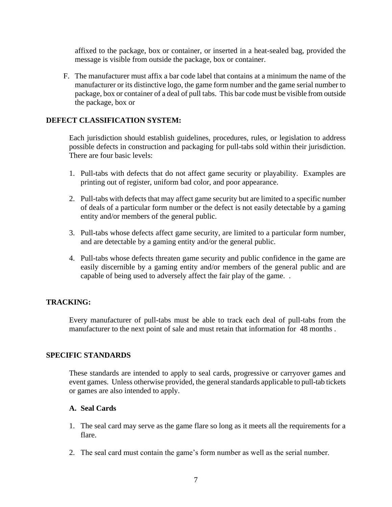affixed to the package, box or container, or inserted in a heat-sealed bag, provided the message is visible from outside the package, box or container.

F. The manufacturer must affix a bar code label that contains at a minimum the name of the manufacturer or its distinctive logo, the game form number and the game serial number to package, box or container of a deal of pull tabs. This bar code must be visible from outside the package, box or

### **DEFECT CLASSIFICATION SYSTEM:**

Each jurisdiction should establish guidelines, procedures, rules, or legislation to address possible defects in construction and packaging for pull-tabs sold within their jurisdiction. There are four basic levels:

- 1. Pull-tabs with defects that do not affect game security or playability. Examples are printing out of register, uniform bad color, and poor appearance.
- 2. Pull-tabs with defects that may affect game security but are limited to a specific number of deals of a particular form number or the defect is not easily detectable by a gaming entity and/or members of the general public.
- 3. Pull-tabs whose defects affect game security, are limited to a particular form number, and are detectable by a gaming entity and/or the general public.
- 4. Pull-tabs whose defects threaten game security and public confidence in the game are easily discernible by a gaming entity and/or members of the general public and are capable of being used to adversely affect the fair play of the game. .

#### **TRACKING:**

Every manufacturer of pull-tabs must be able to track each deal of pull-tabs from the manufacturer to the next point of sale and must retain that information for 48 months .

#### **SPECIFIC STANDARDS**

These standards are intended to apply to seal cards, progressive or carryover games and event games. Unless otherwise provided, the general standards applicable to pull-tab tickets or games are also intended to apply.

#### **A. Seal Cards**

- 1. The seal card may serve as the game flare so long as it meets all the requirements for a flare.
- 2. The seal card must contain the game's form number as well as the serial number.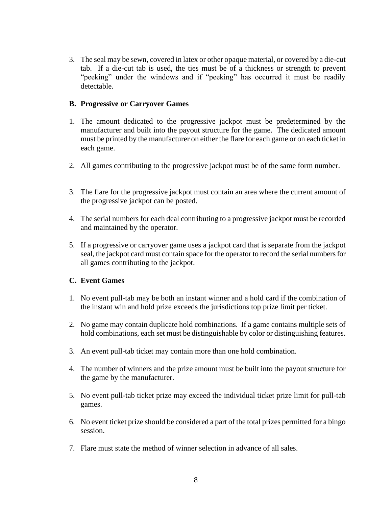3. The seal may be sewn, covered in latex or other opaque material, or covered by a die-cut tab. If a die-cut tab is used, the ties must be of a thickness or strength to prevent "peeking" under the windows and if "peeking" has occurred it must be readily detectable.

### **B. Progressive or Carryover Games**

- 1. The amount dedicated to the progressive jackpot must be predetermined by the manufacturer and built into the payout structure for the game. The dedicated amount must be printed by the manufacturer on either the flare for each game or on each ticket in each game.
- 2. All games contributing to the progressive jackpot must be of the same form number.
- 3. The flare for the progressive jackpot must contain an area where the current amount of the progressive jackpot can be posted.
- 4. The serial numbers for each deal contributing to a progressive jackpot must be recorded and maintained by the operator.
- 5. If a progressive or carryover game uses a jackpot card that is separate from the jackpot seal, the jackpot card must contain space for the operator to record the serial numbersfor all games contributing to the jackpot.

#### **C. Event Games**

- 1. No event pull-tab may be both an instant winner and a hold card if the combination of the instant win and hold prize exceeds the jurisdictions top prize limit per ticket.
- 2. No game may contain duplicate hold combinations. If a game contains multiple sets of hold combinations, each set must be distinguishable by color or distinguishing features.
- 3. An event pull-tab ticket may contain more than one hold combination.
- 4. The number of winners and the prize amount must be built into the payout structure for the game by the manufacturer.
- 5. No event pull-tab ticket prize may exceed the individual ticket prize limit for pull-tab games.
- 6. No event ticket prize should be considered a part of the total prizes permitted for a bingo session.
- 7. Flare must state the method of winner selection in advance of all sales.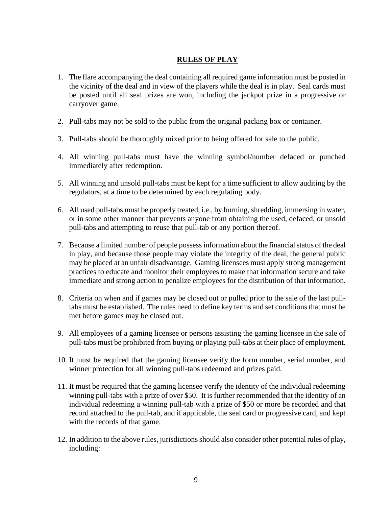## **RULES OF PLAY**

- 1. The flare accompanying the deal containing all required game information must be posted in the vicinity of the deal and in view of the players while the deal is in play. Seal cards must be posted until all seal prizes are won, including the jackpot prize in a progressive or carryover game.
- 2. Pull-tabs may not be sold to the public from the original packing box or container.
- 3. Pull-tabs should be thoroughly mixed prior to being offered for sale to the public.
- 4. All winning pull-tabs must have the winning symbol/number defaced or punched immediately after redemption.
- 5. All winning and unsold pull-tabs must be kept for a time sufficient to allow auditing by the regulators, at a time to be determined by each regulating body.
- 6. All used pull-tabs must be properly treated, i.e., by burning, shredding, immersing in water, or in some other manner that prevents anyone from obtaining the used, defaced, or unsold pull-tabs and attempting to reuse that pull-tab or any portion thereof.
- 7. Because a limited number of people possess information about the financial status of the deal in play, and because those people may violate the integrity of the deal, the general public may be placed at an unfair disadvantage. Gaming licensees must apply strong management practices to educate and monitor their employees to make that information secure and take immediate and strong action to penalize employees for the distribution of that information.
- 8. Criteria on when and if games may be closed out or pulled prior to the sale of the last pulltabs must be established. The rules need to define key terms and set conditions that must be met before games may be closed out.
- 9. All employees of a gaming licensee or persons assisting the gaming licensee in the sale of pull-tabs must be prohibited from buying or playing pull-tabs at their place of employment.
- 10. It must be required that the gaming licensee verify the form number, serial number, and winner protection for all winning pull-tabs redeemed and prizes paid.
- 11. It must be required that the gaming licensee verify the identity of the individual redeeming winning pull-tabs with a prize of over \$50. It is further recommended that the identity of an individual redeeming a winning pull-tab with a prize of \$50 or more be recorded and that record attached to the pull-tab, and if applicable, the seal card or progressive card, and kept with the records of that game.
- 12. In addition to the above rules, jurisdictions should also consider other potential rules of play, including: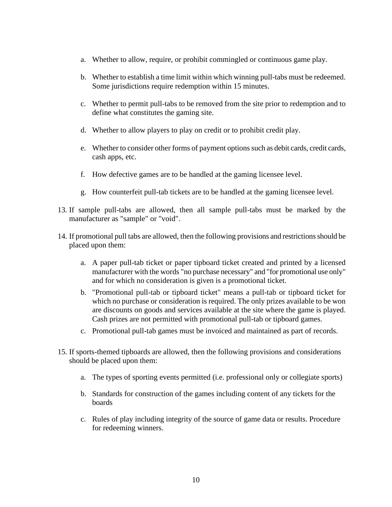- a. Whether to allow, require, or prohibit commingled or continuous game play.
- b. Whether to establish a time limit within which winning pull-tabs must be redeemed. Some jurisdictions require redemption within 15 minutes.
- c. Whether to permit pull-tabs to be removed from the site prior to redemption and to define what constitutes the gaming site.
- d. Whether to allow players to play on credit or to prohibit credit play.
- e. Whether to consider other forms of payment options such as debit cards, credit cards, cash apps, etc.
- f. How defective games are to be handled at the gaming licensee level.
- g. How counterfeit pull-tab tickets are to be handled at the gaming licensee level.
- 13. If sample pull-tabs are allowed, then all sample pull-tabs must be marked by the manufacturer as "sample" or "void".
- 14. If promotional pull tabs are allowed, then the following provisions and restrictions should be placed upon them:
	- a. A paper pull-tab ticket or paper tipboard ticket created and printed by a licensed manufacturer with the words "no purchase necessary" and "for promotional use only" and for which no consideration is given is a promotional ticket.
	- b. "Promotional pull-tab or tipboard ticket" means a pull-tab or tipboard ticket for which no purchase or consideration is required. The only prizes available to be won are discounts on goods and services available at the site where the game is played. Cash prizes are not permitted with promotional pull-tab or tipboard games.
	- c. Promotional pull-tab games must be invoiced and maintained as part of records.
- 15. If sports-themed tipboards are allowed, then the following provisions and considerations should be placed upon them:
	- a. The types of sporting events permitted (i.e. professional only or collegiate sports)
	- b. Standards for construction of the games including content of any tickets for the boards
	- c. Rules of play including integrity of the source of game data or results. Procedure for redeeming winners.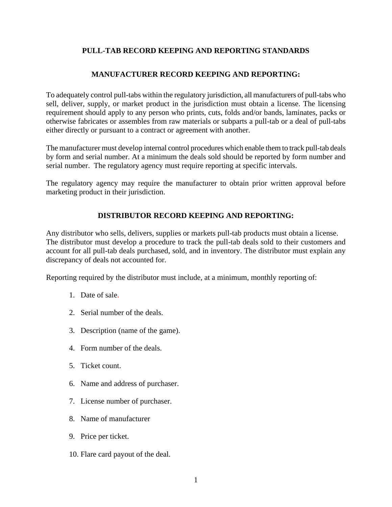## **PULL-TAB RECORD KEEPING AND REPORTING STANDARDS**

## **MANUFACTURER RECORD KEEPING AND REPORTING:**

To adequately control pull-tabs within the regulatory jurisdiction, all manufacturers of pull-tabs who sell, deliver, supply, or market product in the jurisdiction must obtain a license. The licensing requirement should apply to any person who prints, cuts, folds and/or bands, laminates, packs or otherwise fabricates or assembles from raw materials or subparts a pull-tab or a deal of pull-tabs either directly or pursuant to a contract or agreement with another.

The manufacturer must develop internal control procedures which enable them to track pull-tab deals by form and serial number. At a minimum the deals sold should be reported by form number and serial number. The regulatory agency must require reporting at specific intervals.

The regulatory agency may require the manufacturer to obtain prior written approval before marketing product in their jurisdiction.

## **DISTRIBUTOR RECORD KEEPING AND REPORTING:**

Any distributor who sells, delivers, supplies or markets pull-tab products must obtain a license. The distributor must develop a procedure to track the pull-tab deals sold to their customers and account for all pull-tab deals purchased, sold, and in inventory. The distributor must explain any discrepancy of deals not accounted for.

Reporting required by the distributor must include, at a minimum, monthly reporting of:

- 1. Date of sale.
- 2. Serial number of the deals.
- 3. Description (name of the game).
- 4. Form number of the deals.
- 5. Ticket count.
- 6. Name and address of purchaser.
- 7. License number of purchaser.
- 8. Name of manufacturer
- 9. Price per ticket.
- 10. Flare card payout of the deal.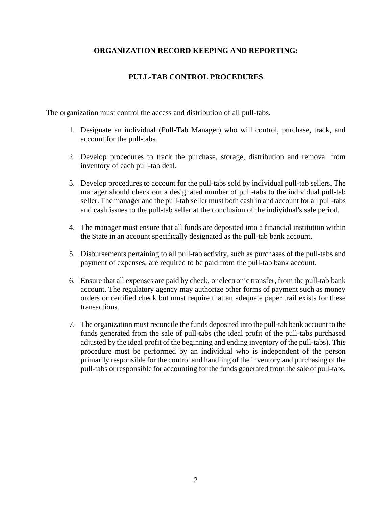## **ORGANIZATION RECORD KEEPING AND REPORTING:**

## **PULL-TAB CONTROL PROCEDURES**

The organization must control the access and distribution of all pull-tabs.

- 1. Designate an individual (Pull-Tab Manager) who will control, purchase, track, and account for the pull-tabs.
- 2. Develop procedures to track the purchase, storage, distribution and removal from inventory of each pull-tab deal.
- 3. Develop procedures to account for the pull-tabs sold by individual pull-tab sellers. The manager should check out a designated number of pull-tabs to the individual pull-tab seller. The manager and the pull-tab seller must both cash in and account for all pull-tabs and cash issues to the pull-tab seller at the conclusion of the individual's sale period.
- 4. The manager must ensure that all funds are deposited into a financial institution within the State in an account specifically designated as the pull-tab bank account.
- 5. Disbursements pertaining to all pull-tab activity, such as purchases of the pull-tabs and payment of expenses, are required to be paid from the pull-tab bank account.
- 6. Ensure that all expenses are paid by check, or electronic transfer, from the pull-tab bank account. The regulatory agency may authorize other forms of payment such as money orders or certified check but must require that an adequate paper trail exists for these transactions.
- 7. The organization must reconcile the funds deposited into the pull-tab bank account to the funds generated from the sale of pull-tabs (the ideal profit of the pull-tabs purchased adjusted by the ideal profit of the beginning and ending inventory of the pull-tabs). This procedure must be performed by an individual who is independent of the person primarily responsible for the control and handling of the inventory and purchasing of the pull-tabs or responsible for accounting for the funds generated from the sale of pull-tabs.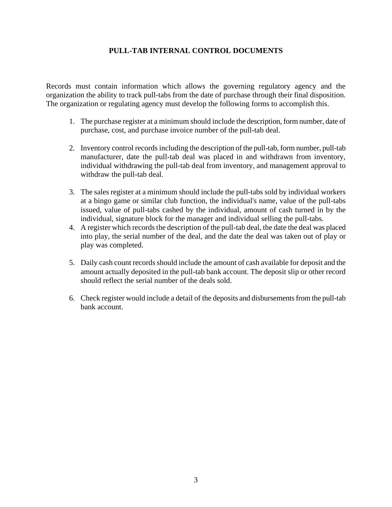## **PULL-TAB INTERNAL CONTROL DOCUMENTS**

Records must contain information which allows the governing regulatory agency and the organization the ability to track pull-tabs from the date of purchase through their final disposition. The organization or regulating agency must develop the following forms to accomplish this.

- 1. The purchase register at a minimum should include the description, form number, date of purchase, cost, and purchase invoice number of the pull-tab deal.
- 2. Inventory control records including the description of the pull-tab, form number, pull-tab manufacturer, date the pull-tab deal was placed in and withdrawn from inventory, individual withdrawing the pull-tab deal from inventory, and management approval to withdraw the pull-tab deal.
- 3. The sales register at a minimum should include the pull-tabs sold by individual workers at a bingo game or similar club function, the individual's name, value of the pull-tabs issued, value of pull-tabs cashed by the individual, amount of cash turned in by the individual, signature block for the manager and individual selling the pull-tabs.
- 4. A register which records the description of the pull-tab deal, the date the deal was placed into play, the serial number of the deal, and the date the deal was taken out of play or play was completed.
- 5. Daily cash count records should include the amount of cash available for deposit and the amount actually deposited in the pull-tab bank account. The deposit slip or other record should reflect the serial number of the deals sold.
- 6. Check register would include a detail of the deposits and disbursements from the pull-tab bank account.